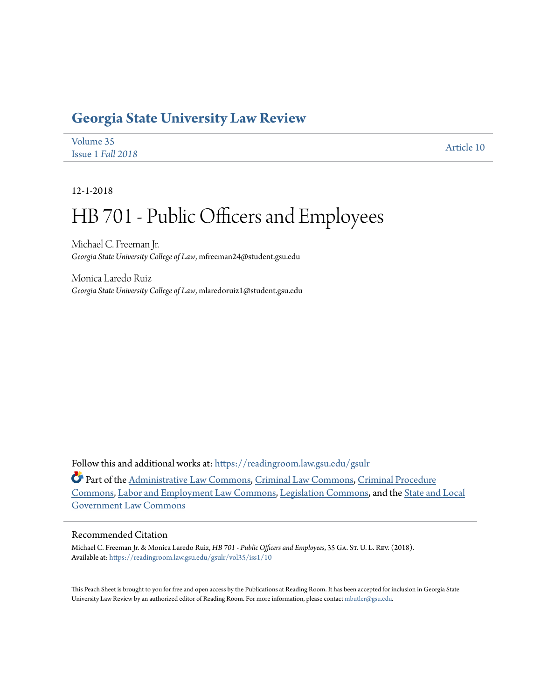## **[Georgia State University Law Review](https://readingroom.law.gsu.edu/gsulr?utm_source=readingroom.law.gsu.edu%2Fgsulr%2Fvol35%2Fiss1%2F10&utm_medium=PDF&utm_campaign=PDFCoverPages)**

| Volume 35         | Article 10 |
|-------------------|------------|
| Issue 1 Fall 2018 |            |

12-1-2018

# HB 701 - Public Officers and Employees

Michael C. Freeman Jr. *Georgia State University College of Law*, mfreeman24@student.gsu.edu

Monica Laredo Ruiz *Georgia State University College of Law*, mlaredoruiz1@student.gsu.edu

Follow this and additional works at: [https://readingroom.law.gsu.edu/gsulr](https://readingroom.law.gsu.edu/gsulr?utm_source=readingroom.law.gsu.edu%2Fgsulr%2Fvol35%2Fiss1%2F10&utm_medium=PDF&utm_campaign=PDFCoverPages)

Part of the [Administrative Law Commons,](http://network.bepress.com/hgg/discipline/579?utm_source=readingroom.law.gsu.edu%2Fgsulr%2Fvol35%2Fiss1%2F10&utm_medium=PDF&utm_campaign=PDFCoverPages) [Criminal Law Commons](http://network.bepress.com/hgg/discipline/912?utm_source=readingroom.law.gsu.edu%2Fgsulr%2Fvol35%2Fiss1%2F10&utm_medium=PDF&utm_campaign=PDFCoverPages), [Criminal Procedure](http://network.bepress.com/hgg/discipline/1073?utm_source=readingroom.law.gsu.edu%2Fgsulr%2Fvol35%2Fiss1%2F10&utm_medium=PDF&utm_campaign=PDFCoverPages) [Commons,](http://network.bepress.com/hgg/discipline/1073?utm_source=readingroom.law.gsu.edu%2Fgsulr%2Fvol35%2Fiss1%2F10&utm_medium=PDF&utm_campaign=PDFCoverPages) [Labor and Employment Law Commons](http://network.bepress.com/hgg/discipline/909?utm_source=readingroom.law.gsu.edu%2Fgsulr%2Fvol35%2Fiss1%2F10&utm_medium=PDF&utm_campaign=PDFCoverPages), [Legislation Commons](http://network.bepress.com/hgg/discipline/859?utm_source=readingroom.law.gsu.edu%2Fgsulr%2Fvol35%2Fiss1%2F10&utm_medium=PDF&utm_campaign=PDFCoverPages), and the [State and Local](http://network.bepress.com/hgg/discipline/879?utm_source=readingroom.law.gsu.edu%2Fgsulr%2Fvol35%2Fiss1%2F10&utm_medium=PDF&utm_campaign=PDFCoverPages) [Government Law Commons](http://network.bepress.com/hgg/discipline/879?utm_source=readingroom.law.gsu.edu%2Fgsulr%2Fvol35%2Fiss1%2F10&utm_medium=PDF&utm_campaign=PDFCoverPages)

### Recommended Citation

Michael C. Freeman Jr. & Monica Laredo Ruiz, *HB 701 - Public Officers and Employees*, 35 Ga. St. U. L. Rev. (2018). Available at: [https://readingroom.law.gsu.edu/gsulr/vol35/iss1/10](https://readingroom.law.gsu.edu/gsulr/vol35/iss1/10?utm_source=readingroom.law.gsu.edu%2Fgsulr%2Fvol35%2Fiss1%2F10&utm_medium=PDF&utm_campaign=PDFCoverPages)

This Peach Sheet is brought to you for free and open access by the Publications at Reading Room. It has been accepted for inclusion in Georgia State University Law Review by an authorized editor of Reading Room. For more information, please contact [mbutler@gsu.edu.](mailto:mbutler@gsu.edu)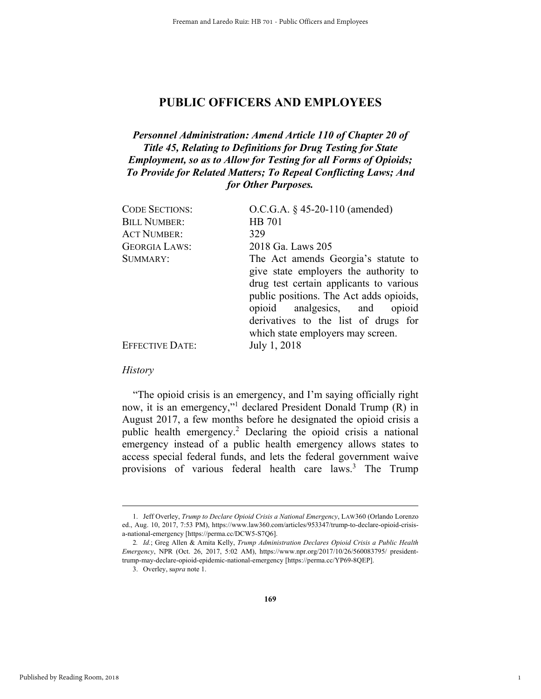### **PUBLIC OFFICERS AND EMPLOYEES**

### *Personnel Administration: Amend Article 110 of Chapter 20 of Title 45, Relating to Definitions for Drug Testing for State Employment, so as to Allow for Testing for all Forms of Opioids; To Provide for Related Matters; To Repeal Conflicting Laws; And for Other Purposes.*

| <b>CODE SECTIONS:</b> | O.C.G.A. $\S$ 45-20-110 (amended)                                                                                                                                                                   |
|-----------------------|-----------------------------------------------------------------------------------------------------------------------------------------------------------------------------------------------------|
| <b>BILL NUMBER:</b>   | <b>HB</b> 701                                                                                                                                                                                       |
| <b>ACT NUMBER:</b>    | 329                                                                                                                                                                                                 |
| <b>GEORGIA LAWS:</b>  | 2018 Ga. Laws 205                                                                                                                                                                                   |
| SUMMARY:              | The Act amends Georgia's statute to<br>give state employers the authority to<br>drug test certain applicants to various<br>public positions. The Act adds opioids,<br>opioid analgesics, and opioid |
| EFFECTIVE DATE:       | derivatives to the list of drugs for<br>which state employers may screen.<br>July 1, 2018                                                                                                           |
|                       |                                                                                                                                                                                                     |

#### *History*

"The opioid crisis is an emergency, and I'm saying officially right now, it is an emergency,"<sup>1</sup> declared President Donald Trump (R) in August 2017, a few months before he designated the opioid crisis a public health emergency.<sup>2</sup> Declaring the opioid crisis a national emergency instead of a public health emergency allows states to access special federal funds, and lets the federal government waive provisions of various federal health care laws.<sup>3</sup> The Trump

1

 <sup>1.</sup> Jeff Overley, *Trump to Declare Opioid Crisis a National Emergency*, LAW360 (Orlando Lorenzo ed., Aug. 10, 2017, 7:53 PM), https://www.law360.com/articles/953347/trump-to-declare-opioid-crisisa-national-emergency [https://perma.cc/DCW5-S7Q6].

<sup>2</sup>*. Id.*; Greg Allen & Amita Kelly, *Trump Administration Declares Opioid Crisis a Public Health Emergency*, NPR (Oct. 26, 2017, 5:02 AM), https://www.npr.org/2017/10/26/560083795/ presidenttrump-may-declare-opioid-epidemic-national-emergency [https://perma.cc/YP69-8QEP].

 <sup>3.</sup> Overley, s*upra* note 1.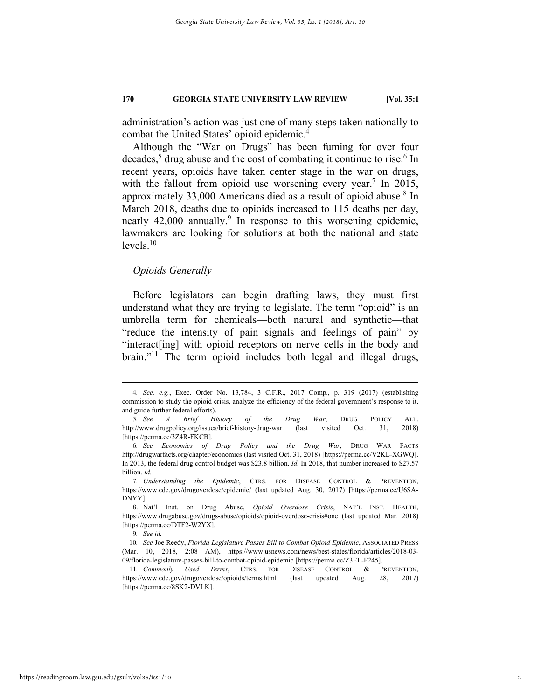administration's action was just one of many steps taken nationally to combat the United States' opioid epidemic.<sup>4</sup>

Although the "War on Drugs" has been fuming for over four decades,<sup>5</sup> drug abuse and the cost of combating it continue to rise.<sup>6</sup> In recent years, opioids have taken center stage in the war on drugs, with the fallout from opioid use worsening every year.<sup>7</sup> In 2015, approximately 33,000 Americans died as a result of opioid abuse.<sup>8</sup> In March 2018, deaths due to opioids increased to 115 deaths per day, nearly 42,000 annually.<sup>9</sup> In response to this worsening epidemic, lawmakers are looking for solutions at both the national and state  $levels$ <sup>10</sup>

#### *Opioids Generally*

Before legislators can begin drafting laws, they must first understand what they are trying to legislate. The term "opioid" is an umbrella term for chemicals—both natural and synthetic—that "reduce the intensity of pain signals and feelings of pain" by "interact[ing] with opioid receptors on nerve cells in the body and brain."11 The term opioid includes both legal and illegal drugs,

7*. Understanding the Epidemic*, CTRS. FOR DISEASE CONTROL & PREVENTION, https://www.cdc.gov/drugoverdose/epidemic/ (last updated Aug. 30, 2017) [https://perma.cc/U6SA-DNYY].

 8. Nat'l Inst. on Drug Abuse, *Opioid Overdose Crisis*, NAT'L INST. HEALTH, https://www.drugabuse.gov/drugs-abuse/opioids/opioid-overdose-crisis#one (last updated Mar. 2018) [https://perma.cc/DTF2-W2YX].

9*. See id.* 

 <sup>4</sup>*. See, e.g.*, Exec. Order No. 13,784, 3 C.F.R., 2017 Comp., p. 319 (2017) (establishing commission to study the opioid crisis, analyze the efficiency of the federal government's response to it, and guide further federal efforts).

<sup>5</sup>*. See A Brief History of the Drug War*, DRUG POLICY ALL. http://www.drugpolicy.org/issues/brief-history-drug-war (last visited Oct. 31, 2018) [https://perma.cc/3Z4R-FKCB].

<sup>6</sup>*. See Economics of Drug Policy and the Drug War*, DRUG WAR FACTS http://drugwarfacts.org/chapter/economics (last visited Oct. 31, 2018) [https://perma.cc/V2KL-XGWQ]. In 2013, the federal drug control budget was \$23.8 billion. *Id.* In 2018, that number increased to \$27.57 billion. *Id.* 

<sup>10</sup>*. See* Joe Reedy, *Florida Legislature Passes Bill to Combat Opioid Epidemic*, ASSOCIATED PRESS (Mar. 10, 2018, 2:08 AM), https://www.usnews.com/news/best-states/florida/articles/2018-03- 09/florida-legislature-passes-bill-to-combat-opioid-epidemic [https://perma.cc/Z3EL-F245].

<sup>11</sup>*. Commonly Used Terms*, CTRS. FOR DISEASE CONTROL & PREVENTION, https://www.cdc.gov/drugoverdose/opioids/terms.html (last updated Aug. 28, 2017) [https://perma.cc/8SK2-DVLK].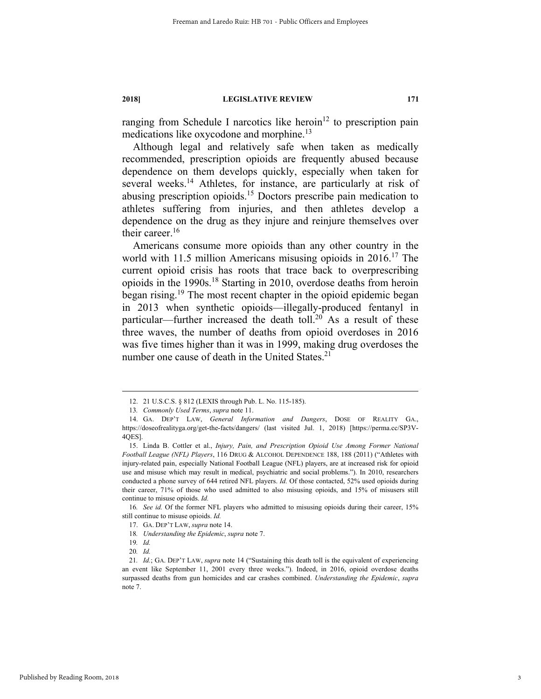ranging from Schedule I narcotics like heroin<sup>12</sup> to prescription pain medications like oxycodone and morphine.<sup>13</sup>

Although legal and relatively safe when taken as medically recommended, prescription opioids are frequently abused because dependence on them develops quickly, especially when taken for several weeks.<sup>14</sup> Athletes, for instance, are particularly at risk of abusing prescription opioids.<sup>15</sup> Doctors prescribe pain medication to athletes suffering from injuries, and then athletes develop a dependence on the drug as they injure and reinjure themselves over their career.<sup>16</sup>

Americans consume more opioids than any other country in the world with 11.5 million Americans misusing opioids in 2016.17 The current opioid crisis has roots that trace back to overprescribing opioids in the 1990s.18 Starting in 2010, overdose deaths from heroin began rising.19 The most recent chapter in the opioid epidemic began in 2013 when synthetic opioids—illegally-produced fentanyl in particular—further increased the death toll.<sup>20</sup> As a result of these three waves, the number of deaths from opioid overdoses in 2016 was five times higher than it was in 1999, making drug overdoses the number one cause of death in the United States.<sup>21</sup>

 <sup>12. 21</sup> U.S.C.S. § 812 (LEXIS through Pub. L. No. 115-185).

<sup>13</sup>*. Commonly Used Terms*, *supra* note 11.

 <sup>14.</sup> GA. DEP'T LAW, *General Information and Dangers*, DOSE OF REALITY GA., https://doseofrealityga.org/get-the-facts/dangers/ (last visited Jul. 1, 2018) [https://perma.cc/SP3V-4QES].

 <sup>15.</sup> Linda B. Cottler et al., *Injury, Pain, and Prescription Opioid Use Among Former National Football League (NFL) Players*, 116 DRUG & ALCOHOL DEPENDENCE 188, 188 (2011) ("Athletes with injury-related pain, especially National Football League (NFL) players, are at increased risk for opioid use and misuse which may result in medical, psychiatric and social problems."). In 2010, researchers conducted a phone survey of 644 retired NFL players. *Id.* Of those contacted, 52% used opioids during their career, 71% of those who used admitted to also misusing opioids, and 15% of misusers still continue to misuse opioids. *Id.*

<sup>16</sup>*. See id.* Of the former NFL players who admitted to misusing opioids during their career, 15% still continue to misuse opioids. *Id.* 

 <sup>17.</sup> GA. DEP'T LAW, *supra* note 14.

<sup>18</sup>*. Understanding the Epidemic*, *supra* note 7.

<sup>19</sup>*. Id.*

<sup>20</sup>*. Id.*

<sup>21</sup>*. Id.*; GA. DEP'T LAW, *supra* note 14 ("Sustaining this death toll is the equivalent of experiencing an event like September 11, 2001 every three weeks."). Indeed, in 2016, opioid overdose deaths surpassed deaths from gun homicides and car crashes combined. *Understanding the Epidemic*, *supra* note 7.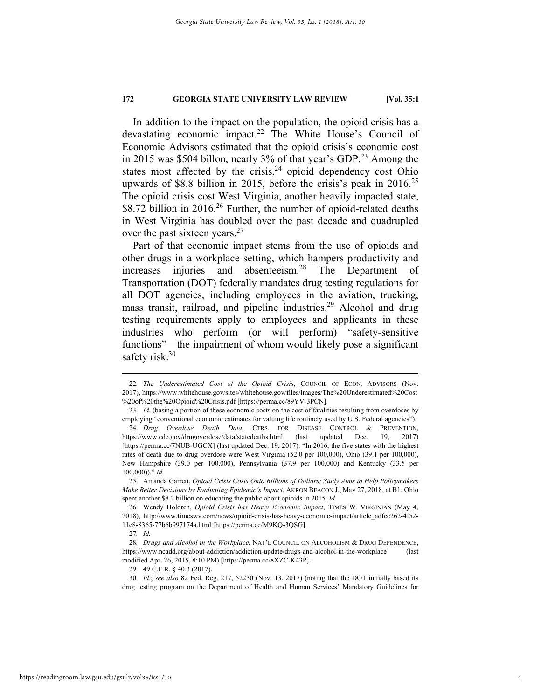In addition to the impact on the population, the opioid crisis has a devastating economic impact.<sup>22</sup> The White House's Council of Economic Advisors estimated that the opioid crisis's economic cost in 2015 was \$504 billon, nearly 3% of that year's GDP.<sup>23</sup> Among the states most affected by the crisis,  $24$  opioid dependency cost Ohio upwards of \$8.8 billion in 2015, before the crisis's peak in  $2016^{25}$ The opioid crisis cost West Virginia, another heavily impacted state, \$8.72 billion in  $2016<sup>26</sup>$  Further, the number of opioid-related deaths in West Virginia has doubled over the past decade and quadrupled over the past sixteen years.<sup>27</sup>

Part of that economic impact stems from the use of opioids and other drugs in a workplace setting, which hampers productivity and increases injuries and absenteeism.28 The Department of Transportation (DOT) federally mandates drug testing regulations for all DOT agencies, including employees in the aviation, trucking, mass transit, railroad, and pipeline industries.<sup>29</sup> Alcohol and drug testing requirements apply to employees and applicants in these industries who perform (or will perform) "safety-sensitive functions"—the impairment of whom would likely pose a significant safety risk.<sup>30</sup>

29. 49 C.F.R. § 40.3 (2017).

 <sup>22</sup>*. The Underestimated Cost of the Opioid Crisis*, COUNCIL OF ECON. ADVISORS (Nov. 2017), https://www.whitehouse.gov/sites/whitehouse.gov/files/images/The%20Underestimated%20Cost %20of%20the%20Opioid%20Crisis.pdf [https://perma.cc/89YV-3PCN].

<sup>23</sup>*. Id.* (basing a portion of these economic costs on the cost of fatalities resulting from overdoses by employing "conventional economic estimates for valuing life routinely used by U.S. Federal agencies").

<sup>24</sup>*. Drug Overdose Death Data*, CTRS. FOR DISEASE CONTROL & PREVENTION, https://www.cdc.gov/drugoverdose/data/statedeaths.html (last updated Dec. 19, 2017) [https://perma.cc/7NUB-UGCX] (last updated Dec. 19, 2017). "In 2016, the five states with the highest rates of death due to drug overdose were West Virginia (52.0 per 100,000), Ohio (39.1 per 100,000), New Hampshire (39.0 per 100,000), Pennsylvania (37.9 per 100,000) and Kentucky (33.5 per 100,000))." *Id.* 

 <sup>25.</sup> Amanda Garrett, *Opioid Crisis Costs Ohio Billions of Dollars; Study Aims to Help Policymakers Make Better Decisions by Evaluating Epidemic's Impact*, AKRON BEACON J., May 27, 2018, at B1. Ohio spent another \$8.2 billion on educating the public about opioids in 2015. *Id.*

 <sup>26.</sup> Wendy Holdren, *Opioid Crisis has Heavy Economic Impact*, TIMES W. VIRGINIAN (May 4, 2018), http://www.timeswv.com/news/opioid-crisis-has-heavy-economic-impact/article\_adfee262-4f52- 11e8-8365-77b6b997174a.html [https://perma.cc/M9KQ-3QSG].

<sup>27</sup>*. Id.* 

<sup>28</sup>*. Drugs and Alcohol in the Workplace*, NAT'L COUNCIL ON ALCOHOLISM & DRUG DEPENDENCE, https://www.ncadd.org/about-addiction/addiction-update/drugs-and-alcohol-in-the-workplace (last modified Apr. 26, 2015, 8:10 PM) [https://perma.cc/8XZC-K43P].

<sup>30</sup>*. Id.*; *see also* 82 Fed. Reg. 217, 52230 (Nov. 13, 2017) (noting that the DOT initially based its drug testing program on the Department of Health and Human Services' Mandatory Guidelines for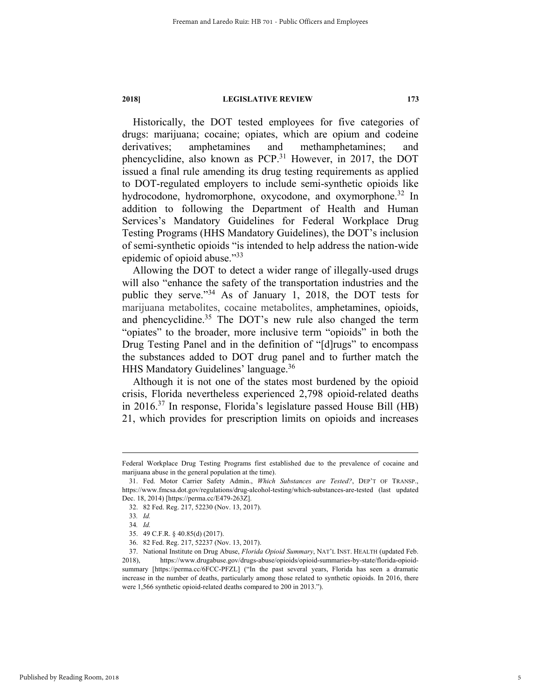Historically, the DOT tested employees for five categories of drugs: marijuana; cocaine; opiates, which are opium and codeine derivatives; amphetamines and methamphetamines; and phencyclidine, also known as PCP.<sup>31</sup> However, in 2017, the DOT issued a final rule amending its drug testing requirements as applied to DOT-regulated employers to include semi-synthetic opioids like hydrocodone, hydromorphone, oxycodone, and oxymorphone.<sup>32</sup> In addition to following the Department of Health and Human Services's Mandatory Guidelines for Federal Workplace Drug Testing Programs (HHS Mandatory Guidelines), the DOT's inclusion of semi-synthetic opioids "is intended to help address the nation-wide epidemic of opioid abuse."33

Allowing the DOT to detect a wider range of illegally-used drugs will also "enhance the safety of the transportation industries and the public they serve."<sup>34</sup> As of January 1, 2018, the DOT tests for marijuana metabolites, cocaine metabolites, amphetamines, opioids, and phencyclidine.<sup>35</sup> The DOT's new rule also changed the term "opiates" to the broader, more inclusive term "opioids" in both the Drug Testing Panel and in the definition of "[d]rugs" to encompass the substances added to DOT drug panel and to further match the HHS Mandatory Guidelines' language.36

Although it is not one of the states most burdened by the opioid crisis, Florida nevertheless experienced 2,798 opioid-related deaths in 2016.37 In response, Florida's legislature passed House Bill (HB) 21, which provides for prescription limits on opioids and increases

Federal Workplace Drug Testing Programs first established due to the prevalence of cocaine and marijuana abuse in the general population at the time).

 <sup>31.</sup> Fed. Motor Carrier Safety Admin., *Which Substances are Tested?*, DEP'T OF TRANSP., https://www.fmcsa.dot.gov/regulations/drug-alcohol-testing/which-substances-are-tested (last updated Dec. 18, 2014) [https://perma.cc/E479-263Z].

 <sup>32. 82</sup> Fed. Reg. 217, 52230 (Nov. 13, 2017).

<sup>33</sup>*. Id.*

<sup>34</sup>*. Id.*

 <sup>35. 49</sup> C.F.R. § 40.85(d) (2017).

 <sup>36. 82</sup> Fed. Reg. 217, 52237 (Nov. 13, 2017).

 <sup>37.</sup> National Institute on Drug Abuse, *Florida Opioid Summary*, NAT'L INST. HEALTH (updated Feb. 2018), https://www.drugabuse.gov/drugs-abuse/opioids/opioid-summaries-by-state/florida-opioidsummary [https://perma.cc/6FCC-PFZL] ("In the past several years, Florida has seen a dramatic increase in the number of deaths, particularly among those related to synthetic opioids. In 2016, there were 1,566 synthetic opioid-related deaths compared to 200 in 2013.").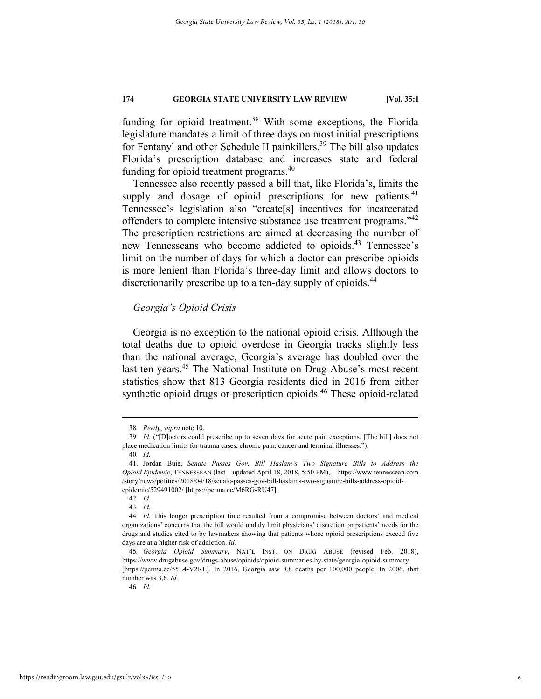funding for opioid treatment.<sup>38</sup> With some exceptions, the Florida legislature mandates a limit of three days on most initial prescriptions for Fentanyl and other Schedule II painkillers.<sup>39</sup> The bill also updates Florida's prescription database and increases state and federal funding for opioid treatment programs.<sup>40</sup>

Tennessee also recently passed a bill that, like Florida's, limits the supply and dosage of opioid prescriptions for new patients. $41$ Tennessee's legislation also "create[s] incentives for incarcerated offenders to complete intensive substance use treatment programs.<sup>142</sup> The prescription restrictions are aimed at decreasing the number of new Tennesseans who become addicted to opioids.<sup>43</sup> Tennessee's limit on the number of days for which a doctor can prescribe opioids is more lenient than Florida's three-day limit and allows doctors to discretionarily prescribe up to a ten-day supply of opioids.<sup>44</sup>

### *Georgia's Opioid Crisis*

Georgia is no exception to the national opioid crisis. Although the total deaths due to opioid overdose in Georgia tracks slightly less than the national average, Georgia's average has doubled over the last ten years.<sup>45</sup> The National Institute on Drug Abuse's most recent statistics show that 813 Georgia residents died in 2016 from either synthetic opioid drugs or prescription opioids.<sup>46</sup> These opioid-related

 <sup>38</sup>*. Reedy*, *supra* note 10.

<sup>39</sup>*. Id.* ("[D]octors could prescribe up to seven days for acute pain exceptions. [The bill] does not place medication limits for trauma cases, chronic pain, cancer and terminal illnesses."). 40*. Id.* 

 <sup>41.</sup> Jordan Buie, *Senate Passes Gov. Bill Haslam's Two Signature Bills to Address the Opioid Epidemic*, TENNESSEAN (last updated April 18, 2018, 5:50 PM), https://www.tennessean.com /story/news/politics/2018/04/18/senate-passes-gov-bill-haslams-two-signature-bills-address-opioidepidemic/529491002/ [https://perma.cc/M6RG-RU47].

<sup>42</sup>*. Id.*

<sup>43</sup>*. Id.*

<sup>44</sup>*. Id.* This longer prescription time resulted from a compromise between doctors' and medical organizations' concerns that the bill would unduly limit physicians' discretion on patients' needs for the drugs and studies cited to by lawmakers showing that patients whose opioid prescriptions exceed five days are at a higher risk of addiction. *Id.* 

<sup>45</sup>*. Georgia Opioid Summary*, NAT'L INST. ON DRUG ABUSE (revised Feb. 2018), https://www.drugabuse.gov/drugs-abuse/opioids/opioid-summaries-by-state/georgia-opioid-summary [https://perma.cc/55L4-V2RL]. In 2016, Georgia saw 8.8 deaths per 100,000 people. In 2006, that number was 3.6. *Id.*

<sup>46</sup>*. Id.*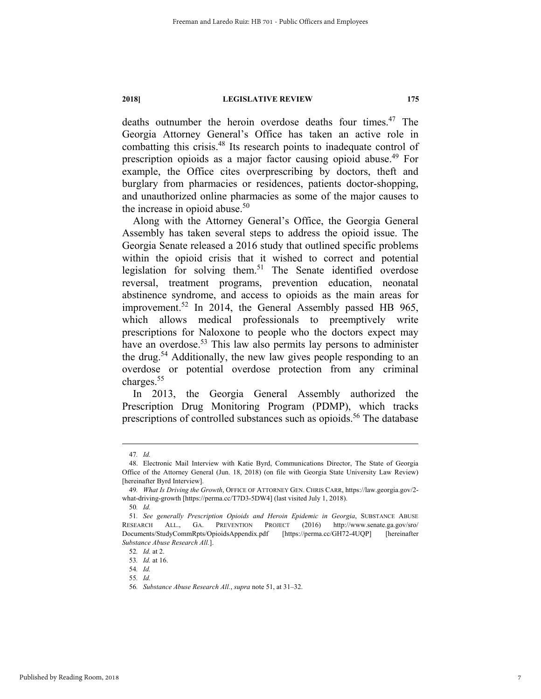deaths outnumber the heroin overdose deaths four times.<sup>47</sup> The Georgia Attorney General's Office has taken an active role in combatting this crisis.48 Its research points to inadequate control of prescription opioids as a major factor causing opioid abuse.49 For example, the Office cites overprescribing by doctors, theft and burglary from pharmacies or residences, patients doctor-shopping, and unauthorized online pharmacies as some of the major causes to the increase in opioid abuse. $50$ 

Along with the Attorney General's Office, the Georgia General Assembly has taken several steps to address the opioid issue. The Georgia Senate released a 2016 study that outlined specific problems within the opioid crisis that it wished to correct and potential legislation for solving them.51 The Senate identified overdose reversal, treatment programs, prevention education, neonatal abstinence syndrome, and access to opioids as the main areas for improvement.<sup>52</sup> In 2014, the General Assembly passed HB 965, which allows medical professionals to preemptively write prescriptions for Naloxone to people who the doctors expect may have an overdose.<sup>53</sup> This law also permits lay persons to administer the drug.54 Additionally, the new law gives people responding to an overdose or potential overdose protection from any criminal charges.55

In 2013, the Georgia General Assembly authorized the Prescription Drug Monitoring Program (PDMP), which tracks prescriptions of controlled substances such as opioids.<sup>56</sup> The database

 <sup>47</sup>*. Id.*

 <sup>48.</sup> Electronic Mail Interview with Katie Byrd, Communications Director, The State of Georgia Office of the Attorney General (Jun. 18, 2018) (on file with Georgia State University Law Review) [hereinafter Byrd Interview].

<sup>49</sup>*. What Is Driving the Growth*, OFFICE OF ATTORNEY GEN. CHRIS CARR, https://law.georgia.gov/2 what-driving-growth [https://perma.cc/T7D3-5DW4] (last visited July 1, 2018).

<sup>50</sup>*. Id.* 

<sup>51</sup>*. See generally Prescription Opioids and Heroin Epidemic in Georgia*, SUBSTANCE ABUSE RESEARCH ALL., GA. PREVENTION PROJECT (2016) http://www.senate.ga.gov/sro/ Documents/StudyCommRpts/OpioidsAppendix.pdf [https://perma.cc/GH72-4UQP] [hereinafter *Substance Abuse Research All.*].

<sup>52</sup>*. Id.* at 2.

<sup>53</sup>*. Id.* at 16.

<sup>54</sup>*. Id.* 

<sup>55</sup>*. Id.* 

<sup>56</sup>*. Substance Abuse Research All.*, *supra* note 51, at 31–32.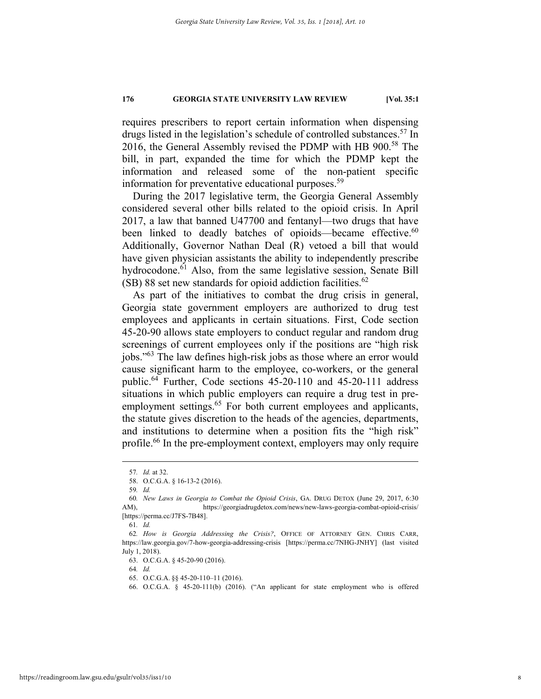requires prescribers to report certain information when dispensing drugs listed in the legislation's schedule of controlled substances.<sup>57</sup> In 2016, the General Assembly revised the PDMP with HB 900.<sup>58</sup> The bill, in part, expanded the time for which the PDMP kept the information and released some of the non-patient specific information for preventative educational purposes.<sup>59</sup>

During the 2017 legislative term, the Georgia General Assembly considered several other bills related to the opioid crisis. In April 2017, a law that banned U47700 and fentanyl—two drugs that have been linked to deadly batches of opioids—became effective.<sup>60</sup> Additionally, Governor Nathan Deal (R) vetoed a bill that would have given physician assistants the ability to independently prescribe hydrocodone.<sup>61</sup> Also, from the same legislative session, Senate Bill  $(SB)$  88 set new standards for opioid addiction facilities.<sup>62</sup>

As part of the initiatives to combat the drug crisis in general, Georgia state government employers are authorized to drug test employees and applicants in certain situations. First, Code section 45-20-90 allows state employers to conduct regular and random drug screenings of current employees only if the positions are "high risk jobs."63 The law defines high-risk jobs as those where an error would cause significant harm to the employee, co-workers, or the general public.64 Further, Code sections 45-20-110 and 45-20-111 address situations in which public employers can require a drug test in preemployment settings.<sup>65</sup> For both current employees and applicants, the statute gives discretion to the heads of the agencies, departments, and institutions to determine when a position fits the "high risk" profile.<sup>66</sup> In the pre-employment context, employers may only require

64*. Id.*

 <sup>57</sup>*. Id.* at 32.

 <sup>58.</sup> O.C.G.A. § 16-13-2 (2016).

<sup>59</sup>*. Id.*

<sup>60</sup>*. New Laws in Georgia to Combat the Opioid Crisis*, GA. DRUG DETOX (June 29, 2017, 6:30 AM), https://georgiadrugdetox.com/news/new-laws-georgia-combat-opioid-crisis/ [https://perma.cc/J7FS-7B48].

<sup>61</sup>*. Id.* 

<sup>62</sup>*. How is Georgia Addressing the Crisis?*, OFFICE OF ATTORNEY GEN. CHRIS CARR, https://law.georgia.gov/7-how-georgia-addressing-crisis [https://perma.cc/7NHG-JNHY] (last visited July 1, 2018).

 <sup>63.</sup> O.C.G.A. § 45-20-90 (2016).

 <sup>65.</sup> O.C.G.A. §§ 45-20-110–11 (2016).

 <sup>66.</sup> O.C.G.A. § 45-20-111(b) (2016). ("An applicant for state employment who is offered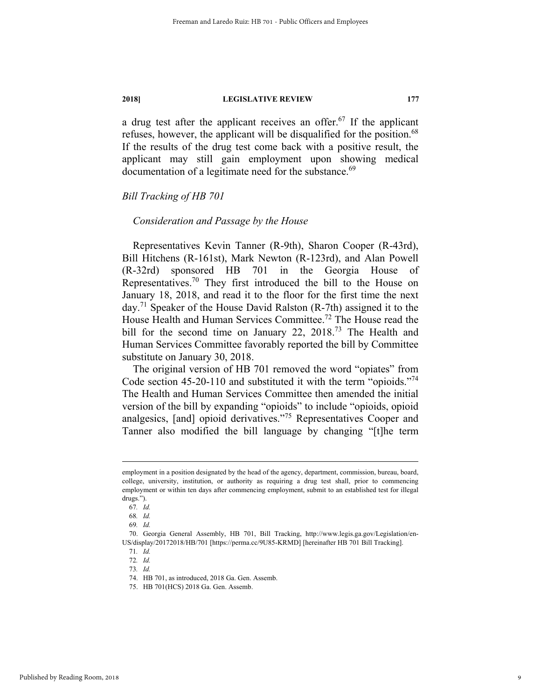a drug test after the applicant receives an offer.<sup>67</sup> If the applicant refuses, however, the applicant will be disqualified for the position.<sup>68</sup> If the results of the drug test come back with a positive result, the applicant may still gain employment upon showing medical documentation of a legitimate need for the substance.<sup>69</sup>

#### *Bill Tracking of HB 701*

#### *Consideration and Passage by the House*

Representatives Kevin Tanner (R-9th), Sharon Cooper (R-43rd), Bill Hitchens (R-161st), Mark Newton (R-123rd), and Alan Powell (R-32rd) sponsored HB 701 in the Georgia House of Representatives.70 They first introduced the bill to the House on January 18, 2018, and read it to the floor for the first time the next day.<sup>71</sup> Speaker of the House David Ralston  $(R-7th)$  assigned it to the House Health and Human Services Committee.72 The House read the bill for the second time on January 22, 2018.<sup>73</sup> The Health and Human Services Committee favorably reported the bill by Committee substitute on January 30, 2018.

The original version of HB 701 removed the word "opiates" from Code section 45-20-110 and substituted it with the term "opioids."<sup>74</sup> The Health and Human Services Committee then amended the initial version of the bill by expanding "opioids" to include "opioids, opioid analgesics, [and] opioid derivatives."75 Representatives Cooper and Tanner also modified the bill language by changing "[t]he term

employment in a position designated by the head of the agency, department, commission, bureau, board, college, university, institution, or authority as requiring a drug test shall, prior to commencing employment or within ten days after commencing employment, submit to an established test for illegal drugs.").

<sup>67</sup>*. Id.*

<sup>68</sup>*. Id.*

<sup>69</sup>*. Id.*

 <sup>70.</sup> Georgia General Assembly, HB 701, Bill Tracking, http://www.legis.ga.gov/Legislation/en-US/display/20172018/HB/701 [https://perma.cc/9U85-KRMD] [hereinafter HB 701 Bill Tracking].

<sup>71</sup>*. Id.* 

<sup>72</sup>*. Id.* 

<sup>73</sup>*. Id.* 

 <sup>74.</sup> HB 701, as introduced, 2018 Ga. Gen. Assemb.

 <sup>75.</sup> HB 701(HCS) 2018 Ga. Gen. Assemb.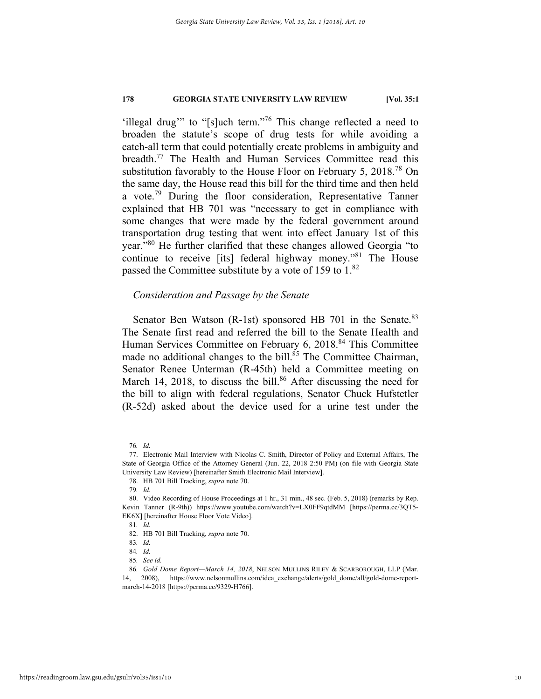'illegal drug'" to "[s]uch term."76 This change reflected a need to broaden the statute's scope of drug tests for while avoiding a catch-all term that could potentially create problems in ambiguity and breadth.77 The Health and Human Services Committee read this substitution favorably to the House Floor on February 5, 2018.<sup>78</sup> On the same day, the House read this bill for the third time and then held a vote.<sup>79</sup> During the floor consideration, Representative Tanner explained that HB 701 was "necessary to get in compliance with some changes that were made by the federal government around transportation drug testing that went into effect January 1st of this year."80 He further clarified that these changes allowed Georgia "to continue to receive [its] federal highway money."81 The House passed the Committee substitute by a vote of 159 to 1.<sup>82</sup>

#### *Consideration and Passage by the Senate*

Senator Ben Watson (R-1st) sponsored HB 701 in the Senate.<sup>83</sup> The Senate first read and referred the bill to the Senate Health and Human Services Committee on February 6, 2018.<sup>84</sup> This Committee made no additional changes to the bill.<sup>85</sup> The Committee Chairman, Senator Renee Unterman (R-45th) held a Committee meeting on March 14, 2018, to discuss the bill.<sup>86</sup> After discussing the need for the bill to align with federal regulations, Senator Chuck Hufstetler (R-52d) asked about the device used for a urine test under the

 <sup>76</sup>*. Id.* 

 <sup>77.</sup> Electronic Mail Interview with Nicolas C. Smith, Director of Policy and External Affairs, The State of Georgia Office of the Attorney General (Jun. 22, 2018 2:50 PM) (on file with Georgia State University Law Review) [hereinafter Smith Electronic Mail Interview].

 <sup>78.</sup> HB 701 Bill Tracking, *supra* note 70.

<sup>79</sup>*. Id.* 

 <sup>80.</sup> Video Recording of House Proceedings at 1 hr., 31 min., 48 sec. (Feb. 5, 2018) (remarks by Rep. Kevin Tanner (R-9th)) https://www.youtube.com/watch?v=LX0FF9qtdMM [https://perma.cc/3QT5- EK6X] [hereinafter House Floor Vote Video].

<sup>81</sup>*. Id.*

 <sup>82.</sup> HB 701 Bill Tracking, *supra* note 70.

<sup>83</sup>*. Id.* 

<sup>84</sup>*. Id.* 

<sup>85</sup>*. See id.*

<sup>86</sup>*. Gold Dome Report—March 14, 2018*, NELSON MULLINS RILEY & SCARBOROUGH, LLP (Mar. 14, 2008), https://www.nelsonmullins.com/idea\_exchange/alerts/gold\_dome/all/gold-dome-reportmarch-14-2018 [https://perma.cc/9329-H766].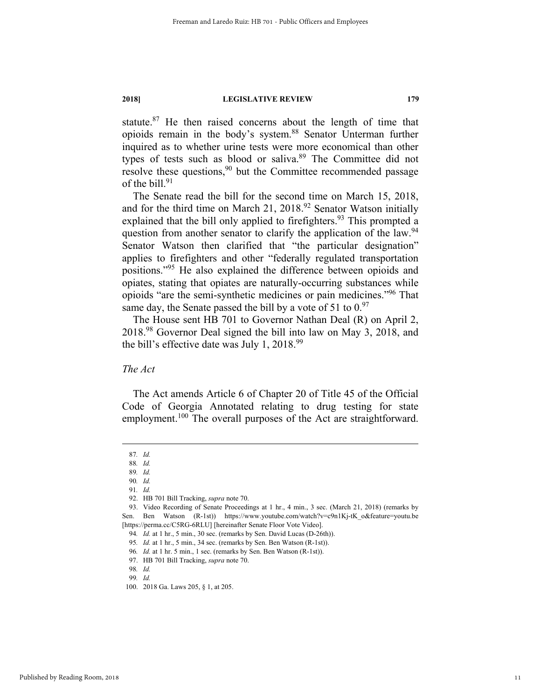statute.87 He then raised concerns about the length of time that opioids remain in the body's system.88 Senator Unterman further inquired as to whether urine tests were more economical than other types of tests such as blood or saliva.<sup>89</sup> The Committee did not resolve these questions,<sup>90</sup> but the Committee recommended passage of the bill.<sup>91</sup>

The Senate read the bill for the second time on March 15, 2018, and for the third time on March 21, 2018.<sup>92</sup> Senator Watson initially explained that the bill only applied to firefighters.<sup>93</sup> This prompted a question from another senator to clarify the application of the law.<sup>94</sup> Senator Watson then clarified that "the particular designation" applies to firefighters and other "federally regulated transportation positions."95 He also explained the difference between opioids and opiates, stating that opiates are naturally-occurring substances while opioids "are the semi-synthetic medicines or pain medicines."96 That same day, the Senate passed the bill by a vote of 51 to  $0.97$ 

The House sent HB 701 to Governor Nathan Deal (R) on April 2, 2018.98 Governor Deal signed the bill into law on May 3, 2018, and the bill's effective date was July 1,  $2018.^{99}$ 

### *The Act*

The Act amends Article 6 of Chapter 20 of Title 45 of the Official Code of Georgia Annotated relating to drug testing for state employment.<sup>100</sup> The overall purposes of the Act are straightforward.

 <sup>87</sup>*. Id.* 

<sup>88</sup>*. Id.* 

<sup>89</sup>*. Id.*  90*. Id.* 

<sup>91</sup>*. Id.* 

 <sup>92.</sup> HB 701 Bill Tracking, *supra* note 70.

 <sup>93.</sup> Video Recording of Senate Proceedings at 1 hr., 4 min., 3 sec. (March 21, 2018) (remarks by Sen. Ben Watson (R-1st)) https://www.youtube.com/watch?v=c9n1Kj-tK\_o&feature=youtu.be [https://perma.cc/C5RG-6RLU] [hereinafter Senate Floor Vote Video].

<sup>94</sup>*. Id.* at 1 hr., 5 min., 30 sec. (remarks by Sen. David Lucas (D-26th)).

<sup>95</sup>*. Id.* at 1 hr., 5 min., 34 sec. (remarks by Sen. Ben Watson (R-1st)).

<sup>96</sup>*. Id.* at 1 hr. 5 min., 1 sec. (remarks by Sen. Ben Watson (R-1st)).

 <sup>97.</sup> HB 701 Bill Tracking, *supra* note 70. 98*. Id.* 

<sup>99</sup>*. Id.* 

 <sup>100. 2018</sup> Ga. Laws 205, § 1, at 205.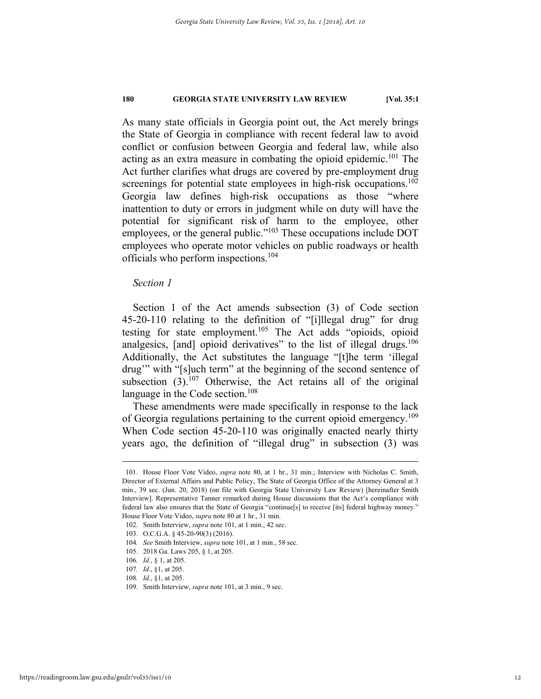As many state officials in Georgia point out, the Act merely brings the State of Georgia in compliance with recent federal law to avoid conflict or confusion between Georgia and federal law, while also acting as an extra measure in combating the opioid epidemic.<sup>101</sup> The Act further clarifies what drugs are covered by pre-employment drug screenings for potential state employees in high-risk occupations.<sup>102</sup> Georgia law defines high-risk occupations as those "where inattention to duty or errors in judgment while on duty will have the potential for significant risk of harm to the employee, other employees, or the general public."<sup>103</sup> These occupations include DOT employees who operate motor vehicles on public roadways or health officials who perform inspections.<sup>104</sup>

### *Section 1*

Section 1 of the Act amends subsection (3) of Code section 45-20-110 relating to the definition of "[i]llegal drug" for drug testing for state employment.<sup>105</sup> The Act adds "opioids, opioid analgesics, [and] opioid derivatives" to the list of illegal drugs.<sup>106</sup> Additionally, the Act substitutes the language "[t]he term 'illegal drug'" with "[s]uch term" at the beginning of the second sentence of subsection  $(3)$ .<sup>107</sup> Otherwise, the Act retains all of the original language in the Code section.<sup>108</sup>

These amendments were made specifically in response to the lack of Georgia regulations pertaining to the current opioid emergency.<sup>109</sup> When Code section 45-20-110 was originally enacted nearly thirty years ago, the definition of "illegal drug" in subsection (3) was

 <sup>101.</sup> House Floor Vote Video, *supra* note 80, at 1 hr., 31 min.; Interview with Nicholas C. Smith, Director of External Affairs and Public Policy, The State of Georgia Office of the Attorney General at 3 min., 39 sec. (Jun. 20, 2018) (on file with Georgia State University Law Review) [hereinafter Smith Interview]. Representative Tanner remarked during House discussions that the Act's compliance with federal law also ensures that the State of Georgia "continue[s] to receive [its] federal highway money." House Floor Vote Video, *supra* note 80 at 1 hr., 31 min.

 <sup>102.</sup> Smith Interview, *supra* note 101, at 1 min., 42 sec.

 <sup>103.</sup> O.C.G.A. § 45-20-90(3) (2016).

<sup>104</sup>*. See* Smith Interview, *supra* note 101, at 1 min., 58 sec.

 <sup>105. 2018</sup> Ga. Laws 205, § 1, at 205.

<sup>106</sup>*. Id.*, § 1, at 205.

<sup>107</sup>*. Id.*, §1, at 205.

<sup>108</sup>*. Id.*, §1, at 205.

 <sup>109.</sup> Smith Interview, *supra* note 101, at 3 min., 9 sec.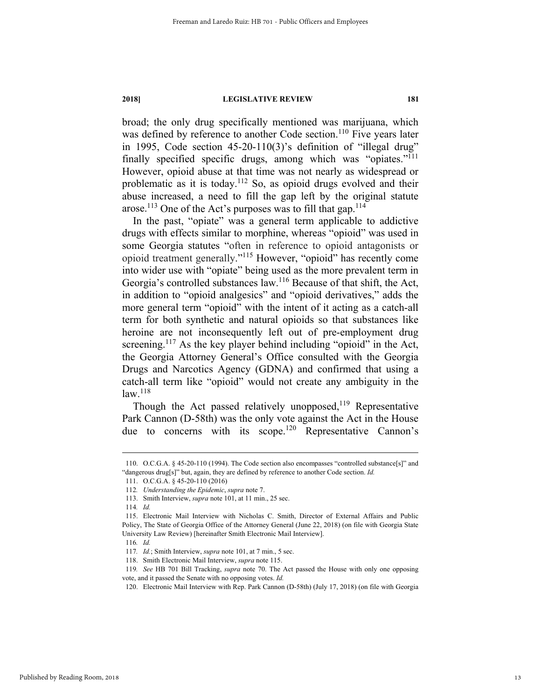broad; the only drug specifically mentioned was marijuana, which was defined by reference to another Code section.<sup>110</sup> Five years later in 1995, Code section 45-20-110(3)'s definition of "illegal drug" finally specified specific drugs, among which was "opiates."<sup>111</sup> However, opioid abuse at that time was not nearly as widespread or problematic as it is today.112 So, as opioid drugs evolved and their abuse increased, a need to fill the gap left by the original statute arose.<sup>113</sup> One of the Act's purposes was to fill that gap.<sup>114</sup>

In the past, "opiate" was a general term applicable to addictive drugs with effects similar to morphine, whereas "opioid" was used in some Georgia statutes "often in reference to opioid antagonists or opioid treatment generally."115 However, "opioid" has recently come into wider use with "opiate" being used as the more prevalent term in Georgia's controlled substances law.116 Because of that shift, the Act, in addition to "opioid analgesics" and "opioid derivatives," adds the more general term "opioid" with the intent of it acting as a catch-all term for both synthetic and natural opioids so that substances like heroine are not inconsequently left out of pre-employment drug screening.<sup>117</sup> As the key player behind including "opioid" in the Act, the Georgia Attorney General's Office consulted with the Georgia Drugs and Narcotics Agency (GDNA) and confirmed that using a catch-all term like "opioid" would not create any ambiguity in the  $law.<sup>118</sup>$ 

Though the Act passed relatively unopposed,<sup>119</sup> Representative Park Cannon (D-58th) was the only vote against the Act in the House due to concerns with its scope.<sup>120</sup> Representative Cannon's

 <sup>110.</sup> O.C.G.A. § 45-20-110 (1994). The Code section also encompasses "controlled substance[s]" and "dangerous drug[s]" but, again, they are defined by reference to another Code section. *Id.* 

 <sup>111.</sup> O.C.G.A. § 45-20-110 (2016)

<sup>112</sup>*. Understanding the Epidemic*, *supra* note 7.

 <sup>113.</sup> Smith Interview, *supra* note 101, at 11 min., 25 sec.

<sup>114</sup>*. Id.*

 <sup>115.</sup> Electronic Mail Interview with Nicholas C. Smith, Director of External Affairs and Public Policy, The State of Georgia Office of the Attorney General (June 22, 2018) (on file with Georgia State University Law Review) [hereinafter Smith Electronic Mail Interview].

<sup>116</sup>*. Id.*

<sup>117</sup>*. Id.*; Smith Interview, *supra* note 101, at 7 min., 5 sec.

 <sup>118.</sup> Smith Electronic Mail Interview, *supra* note 115.

<sup>119</sup>*. See* HB 701 Bill Tracking, *supra* note 70. The Act passed the House with only one opposing vote, and it passed the Senate with no opposing votes. *Id.* 

 <sup>120.</sup> Electronic Mail Interview with Rep. Park Cannon (D-58th) (July 17, 2018) (on file with Georgia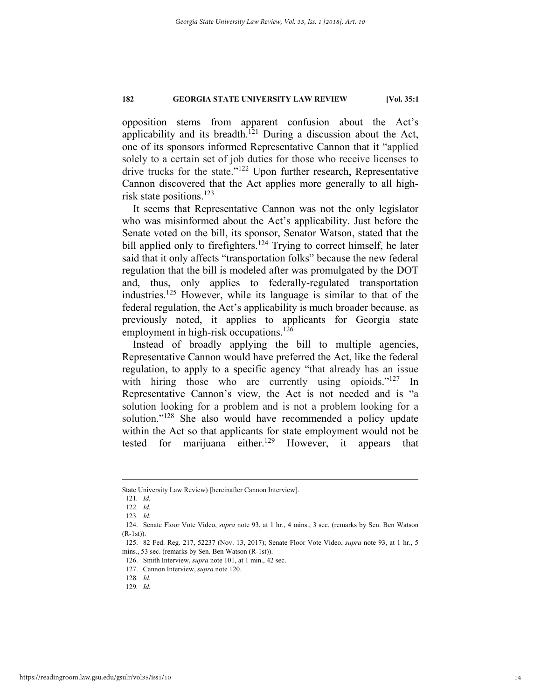opposition stems from apparent confusion about the Act's applicability and its breadth.<sup>121</sup> During a discussion about the Act, one of its sponsors informed Representative Cannon that it "applied solely to a certain set of job duties for those who receive licenses to drive trucks for the state."122 Upon further research, Representative Cannon discovered that the Act applies more generally to all highrisk state positions.<sup>123</sup>

It seems that Representative Cannon was not the only legislator who was misinformed about the Act's applicability. Just before the Senate voted on the bill, its sponsor, Senator Watson, stated that the bill applied only to firefighters.<sup>124</sup> Trying to correct himself, he later said that it only affects "transportation folks" because the new federal regulation that the bill is modeled after was promulgated by the DOT and, thus, only applies to federally-regulated transportation industries.<sup>125</sup> However, while its language is similar to that of the federal regulation, the Act's applicability is much broader because, as previously noted, it applies to applicants for Georgia state employment in high-risk occupations.<sup>126</sup>

Instead of broadly applying the bill to multiple agencies, Representative Cannon would have preferred the Act, like the federal regulation, to apply to a specific agency "that already has an issue with hiring those who are currently using opioids."<sup>127</sup> In Representative Cannon's view, the Act is not needed and is "a solution looking for a problem and is not a problem looking for a solution."<sup>128</sup> She also would have recommended a policy update within the Act so that applicants for state employment would not be tested for marijuana either.<sup>129</sup> However, it appears that

State University Law Review) [hereinafter Cannon Interview].

<sup>121</sup>*. Id.*

<sup>122</sup>*. Id.*

<sup>123</sup>*. Id.* 

 <sup>124.</sup> Senate Floor Vote Video, *supra* note 93, at 1 hr., 4 mins., 3 sec. (remarks by Sen. Ben Watson (R-1st)).

 <sup>125. 82</sup> Fed. Reg. 217, 52237 (Nov. 13, 2017); Senate Floor Vote Video, *supra* note 93, at 1 hr., 5 mins., 53 sec. (remarks by Sen. Ben Watson (R-1st)).

 <sup>126.</sup> Smith Interview, *supra* note 101, at 1 min., 42 sec.

 <sup>127.</sup> Cannon Interview, *supra* note 120.

<sup>128</sup>*. Id.*

<sup>129</sup>*. Id.*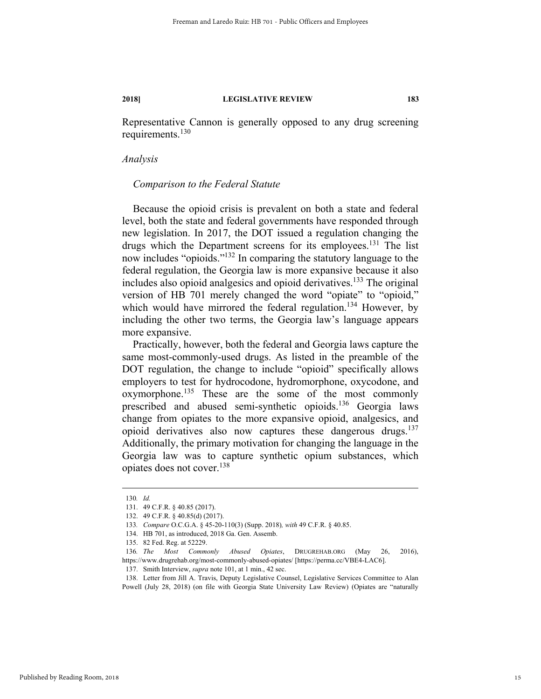Representative Cannon is generally opposed to any drug screening requirements.<sup>130</sup>

#### *Analysis*

#### *Comparison to the Federal Statute*

Because the opioid crisis is prevalent on both a state and federal level, both the state and federal governments have responded through new legislation. In 2017, the DOT issued a regulation changing the drugs which the Department screens for its employees.<sup>131</sup> The list now includes "opioids."132 In comparing the statutory language to the federal regulation, the Georgia law is more expansive because it also includes also opioid analgesics and opioid derivatives.133 The original version of HB 701 merely changed the word "opiate" to "opioid," which would have mirrored the federal regulation.<sup>134</sup> However, by including the other two terms, the Georgia law's language appears more expansive.

Practically, however, both the federal and Georgia laws capture the same most-commonly-used drugs. As listed in the preamble of the DOT regulation, the change to include "opioid" specifically allows employers to test for hydrocodone, hydromorphone, oxycodone, and  $oxymorphone.<sup>135</sup>$  These are the some of the most commonly prescribed and abused semi-synthetic opioids.136 Georgia laws change from opiates to the more expansive opioid, analgesics, and opioid derivatives also now captures these dangerous drugs. $137$ Additionally, the primary motivation for changing the language in the Georgia law was to capture synthetic opium substances, which opiates does not cover.138

 <sup>130</sup>*. Id.* 

 <sup>131. 49</sup> C.F.R. § 40.85 (2017).

 <sup>132. 49</sup> C.F.R. § 40.85(d) (2017).

<sup>133</sup>*. Compare* O.C.G.A. § 45-20-110(3) (Supp. 2018)*, with* 49 C.F.R. § 40.85.

 <sup>134.</sup> HB 701, as introduced, 2018 Ga. Gen. Assemb.

 <sup>135. 82</sup> Fed. Reg. at 52229.

<sup>136</sup>*. The Most Commonly Abused Opiates*, DRUGREHAB.ORG (May 26, 2016), https://www.drugrehab.org/most-commonly-abused-opiates/ [https://perma.cc/VBE4-LAC6].

 <sup>137.</sup> Smith Interview, *supra* note 101, at 1 min., 42 sec.

 <sup>138.</sup> Letter from Jill A. Travis, Deputy Legislative Counsel, Legislative Services Committee to Alan Powell (July 28, 2018) (on file with Georgia State University Law Review) (Opiates are "naturally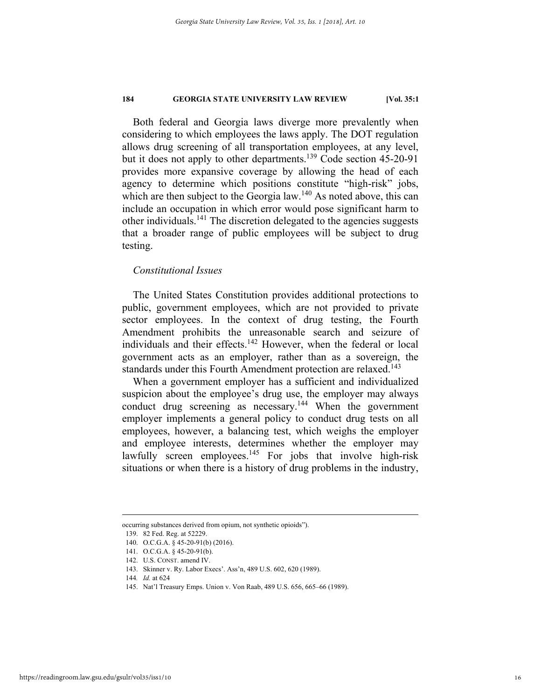Both federal and Georgia laws diverge more prevalently when considering to which employees the laws apply. The DOT regulation allows drug screening of all transportation employees, at any level, but it does not apply to other departments.<sup>139</sup> Code section 45-20-91 provides more expansive coverage by allowing the head of each agency to determine which positions constitute "high-risk" jobs, which are then subject to the Georgia law.<sup>140</sup> As noted above, this can include an occupation in which error would pose significant harm to other individuals.<sup>141</sup> The discretion delegated to the agencies suggests that a broader range of public employees will be subject to drug testing.

#### *Constitutional Issues*

The United States Constitution provides additional protections to public, government employees, which are not provided to private sector employees. In the context of drug testing, the Fourth Amendment prohibits the unreasonable search and seizure of individuals and their effects.<sup>142</sup> However, when the federal or local government acts as an employer, rather than as a sovereign, the standards under this Fourth Amendment protection are relaxed.<sup>143</sup>

When a government employer has a sufficient and individualized suspicion about the employee's drug use, the employer may always conduct drug screening as necessary.<sup>144</sup> When the government employer implements a general policy to conduct drug tests on all employees, however, a balancing test, which weighs the employer and employee interests, determines whether the employer may lawfully screen employees.<sup>145</sup> For jobs that involve high-risk situations or when there is a history of drug problems in the industry,

occurring substances derived from opium, not synthetic opioids").

 <sup>139. 82</sup> Fed. Reg. at 52229.

 <sup>140.</sup> O.C.G.A. § 45-20-91(b) (2016).

 <sup>141.</sup> O.C.G.A. § 45-20-91(b).

 <sup>142.</sup> U.S. CONST. amend IV.

 <sup>143.</sup> Skinner v. Ry. Labor Execs'. Ass'n, 489 U.S. 602, 620 (1989).

<sup>144</sup>*. Id.* at 624

 <sup>145.</sup> Nat'l Treasury Emps. Union v. Von Raab, 489 U.S. 656, 665–66 (1989).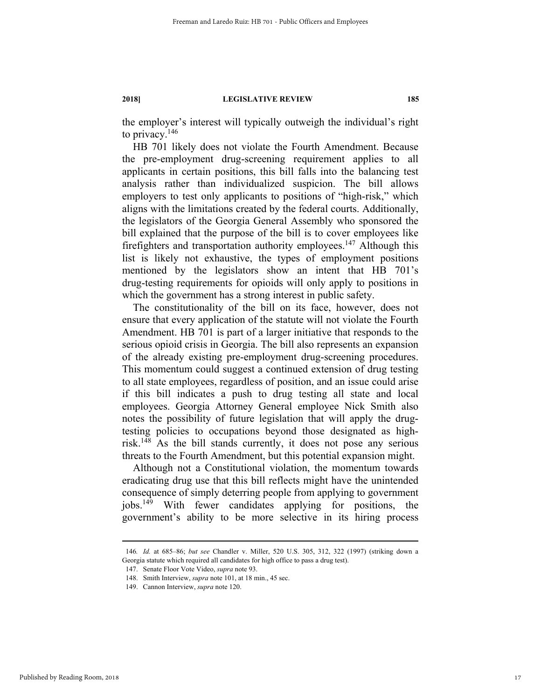the employer's interest will typically outweigh the individual's right to privacy. $146$ 

HB 701 likely does not violate the Fourth Amendment. Because the pre-employment drug-screening requirement applies to all applicants in certain positions, this bill falls into the balancing test analysis rather than individualized suspicion. The bill allows employers to test only applicants to positions of "high-risk," which aligns with the limitations created by the federal courts. Additionally, the legislators of the Georgia General Assembly who sponsored the bill explained that the purpose of the bill is to cover employees like firefighters and transportation authority employees.<sup>147</sup> Although this list is likely not exhaustive, the types of employment positions mentioned by the legislators show an intent that HB 701's drug-testing requirements for opioids will only apply to positions in which the government has a strong interest in public safety.

The constitutionality of the bill on its face, however, does not ensure that every application of the statute will not violate the Fourth Amendment. HB 701 is part of a larger initiative that responds to the serious opioid crisis in Georgia. The bill also represents an expansion of the already existing pre-employment drug-screening procedures. This momentum could suggest a continued extension of drug testing to all state employees, regardless of position, and an issue could arise if this bill indicates a push to drug testing all state and local employees. Georgia Attorney General employee Nick Smith also notes the possibility of future legislation that will apply the drugtesting policies to occupations beyond those designated as highrisk.148 As the bill stands currently, it does not pose any serious threats to the Fourth Amendment, but this potential expansion might.

Although not a Constitutional violation, the momentum towards eradicating drug use that this bill reflects might have the unintended consequence of simply deterring people from applying to government jobs.149 With fewer candidates applying for positions, the government's ability to be more selective in its hiring process

 <sup>146</sup>*. Id.* at 685–86; *but see* Chandler v. Miller, 520 U.S. 305, 312, 322 (1997) (striking down a Georgia statute which required all candidates for high office to pass a drug test).

 <sup>147.</sup> Senate Floor Vote Video, *supra* note 93.

 <sup>148.</sup> Smith Interview, *supra* note 101, at 18 min., 45 sec.

 <sup>149.</sup> Cannon Interview, *supra* note 120.